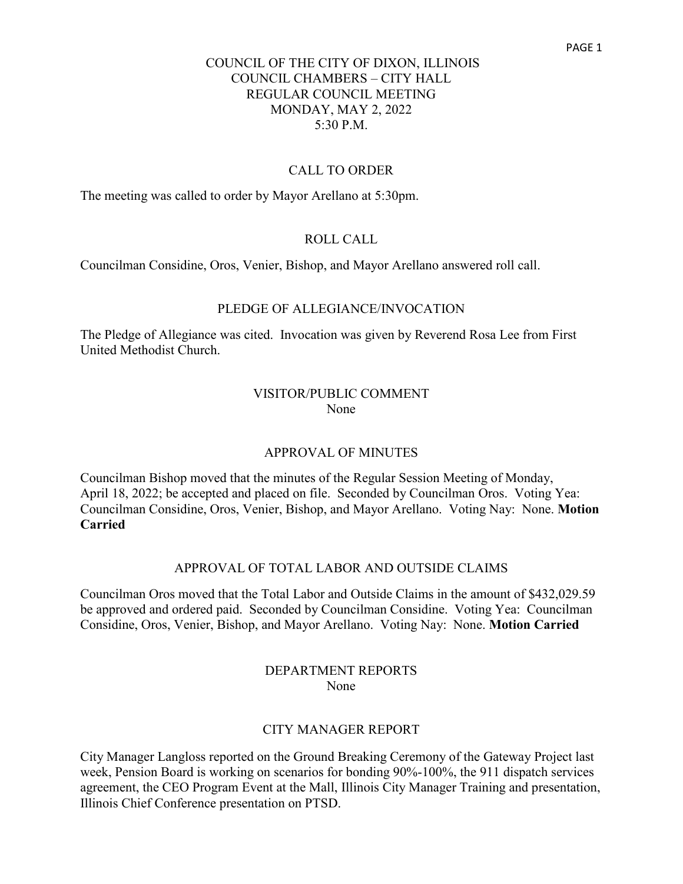#### CALL TO ORDER

The meeting was called to order by Mayor Arellano at 5:30pm.

#### ROLL CALL

Councilman Considine, Oros, Venier, Bishop, and Mayor Arellano answered roll call.

#### PLEDGE OF ALLEGIANCE/INVOCATION

The Pledge of Allegiance was cited. Invocation was given by Reverend Rosa Lee from First United Methodist Church.

#### VISITOR/PUBLIC COMMENT None

#### APPROVAL OF MINUTES

Councilman Bishop moved that the minutes of the Regular Session Meeting of Monday, April 18, 2022; be accepted and placed on file. Seconded by Councilman Oros. Voting Yea: Councilman Considine, Oros, Venier, Bishop, and Mayor Arellano. Voting Nay: None. **Motion Carried**

#### APPROVAL OF TOTAL LABOR AND OUTSIDE CLAIMS

Councilman Oros moved that the Total Labor and Outside Claims in the amount of \$432,029.59 be approved and ordered paid. Seconded by Councilman Considine. Voting Yea: Councilman Considine, Oros, Venier, Bishop, and Mayor Arellano. Voting Nay: None. **Motion Carried**

#### DEPARTMENT REPORTS None

#### CITY MANAGER REPORT

City Manager Langloss reported on the Ground Breaking Ceremony of the Gateway Project last week, Pension Board is working on scenarios for bonding 90%-100%, the 911 dispatch services agreement, the CEO Program Event at the Mall, Illinois City Manager Training and presentation, Illinois Chief Conference presentation on PTSD.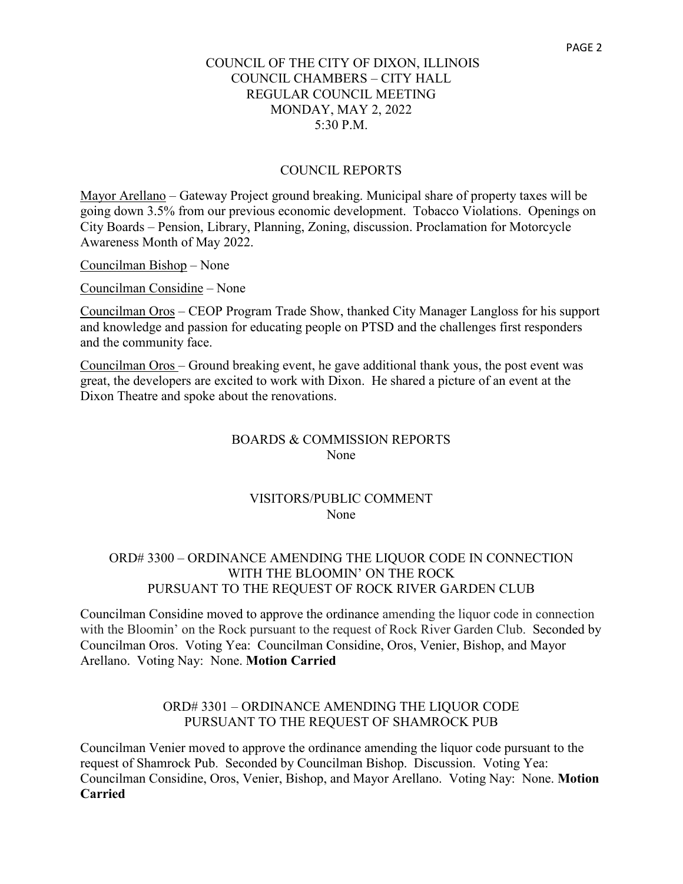#### COUNCIL REPORTS

Mayor Arellano – Gateway Project ground breaking. Municipal share of property taxes will be going down 3.5% from our previous economic development. Tobacco Violations. Openings on City Boards – Pension, Library, Planning, Zoning, discussion. Proclamation for Motorcycle Awareness Month of May 2022.

Councilman Bishop – None

Councilman Considine – None

Councilman Oros – CEOP Program Trade Show, thanked City Manager Langloss for his support and knowledge and passion for educating people on PTSD and the challenges first responders and the community face.

Councilman Oros – Ground breaking event, he gave additional thank yous, the post event was great, the developers are excited to work with Dixon. He shared a picture of an event at the Dixon Theatre and spoke about the renovations.

#### BOARDS & COMMISSION REPORTS None

### VISITORS/PUBLIC COMMENT None

#### ORD# 3300 – ORDINANCE AMENDING THE LIQUOR CODE IN CONNECTION WITH THE BLOOMIN' ON THE ROCK PURSUANT TO THE REQUEST OF ROCK RIVER GARDEN CLUB

Councilman Considine moved to approve the ordinance amending the liquor code in connection with the Bloomin' on the Rock pursuant to the request of Rock River Garden Club. Seconded by Councilman Oros. Voting Yea: Councilman Considine, Oros, Venier, Bishop, and Mayor Arellano. Voting Nay: None. **Motion Carried**

### ORD# 3301 – ORDINANCE AMENDING THE LIQUOR CODE PURSUANT TO THE REQUEST OF SHAMROCK PUB

Councilman Venier moved to approve the ordinance amending the liquor code pursuant to the request of Shamrock Pub. Seconded by Councilman Bishop. Discussion. Voting Yea: Councilman Considine, Oros, Venier, Bishop, and Mayor Arellano. Voting Nay: None. **Motion Carried**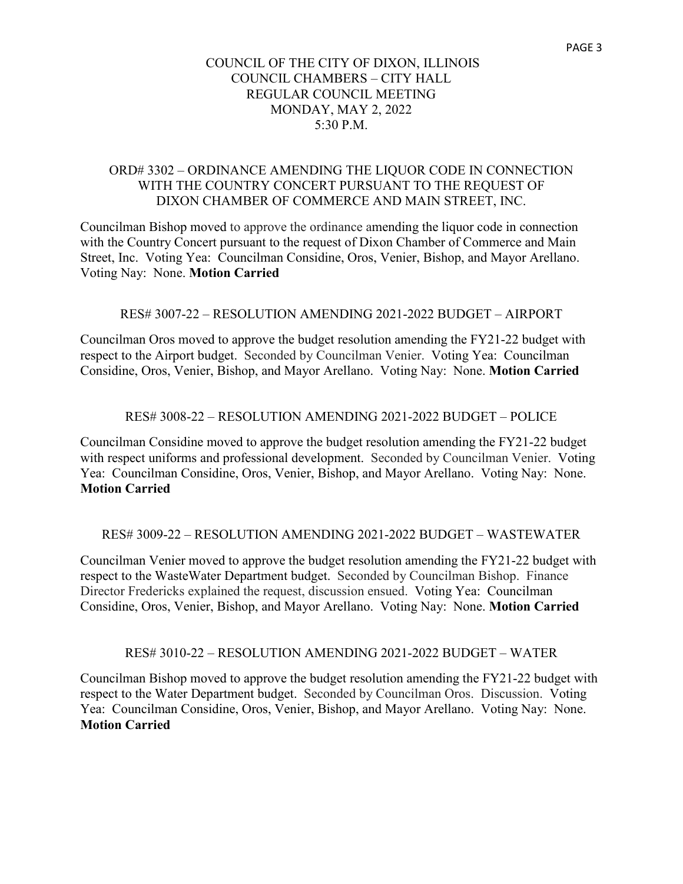### ORD# 3302 – ORDINANCE AMENDING THE LIQUOR CODE IN CONNECTION WITH THE COUNTRY CONCERT PURSUANT TO THE REOUEST OF DIXON CHAMBER OF COMMERCE AND MAIN STREET, INC.

Councilman Bishop moved to approve the ordinance amending the liquor code in connection with the Country Concert pursuant to the request of Dixon Chamber of Commerce and Main Street, Inc. Voting Yea: Councilman Considine, Oros, Venier, Bishop, and Mayor Arellano. Voting Nay: None. **Motion Carried**

### RES# 3007-22 – RESOLUTION AMENDING 2021-2022 BUDGET – AIRPORT

Councilman Oros moved to approve the budget resolution amending the FY21-22 budget with respect to the Airport budget. Seconded by Councilman Venier. Voting Yea: Councilman Considine, Oros, Venier, Bishop, and Mayor Arellano. Voting Nay: None. **Motion Carried**

#### RES# 3008-22 – RESOLUTION AMENDING 2021-2022 BUDGET – POLICE

Councilman Considine moved to approve the budget resolution amending the FY21-22 budget with respect uniforms and professional development. Seconded by Councilman Venier. Voting Yea: Councilman Considine, Oros, Venier, Bishop, and Mayor Arellano. Voting Nay: None. **Motion Carried**

### RES# 3009-22 – RESOLUTION AMENDING 2021-2022 BUDGET – WASTEWATER

Councilman Venier moved to approve the budget resolution amending the FY21-22 budget with respect to the WasteWater Department budget. Seconded by Councilman Bishop. Finance Director Fredericks explained the request, discussion ensued. Voting Yea: Councilman Considine, Oros, Venier, Bishop, and Mayor Arellano. Voting Nay: None. **Motion Carried**

#### RES# 3010-22 – RESOLUTION AMENDING 2021-2022 BUDGET – WATER

Councilman Bishop moved to approve the budget resolution amending the FY21-22 budget with respect to the Water Department budget. Seconded by Councilman Oros. Discussion. Voting Yea: Councilman Considine, Oros, Venier, Bishop, and Mayor Arellano. Voting Nay: None. **Motion Carried**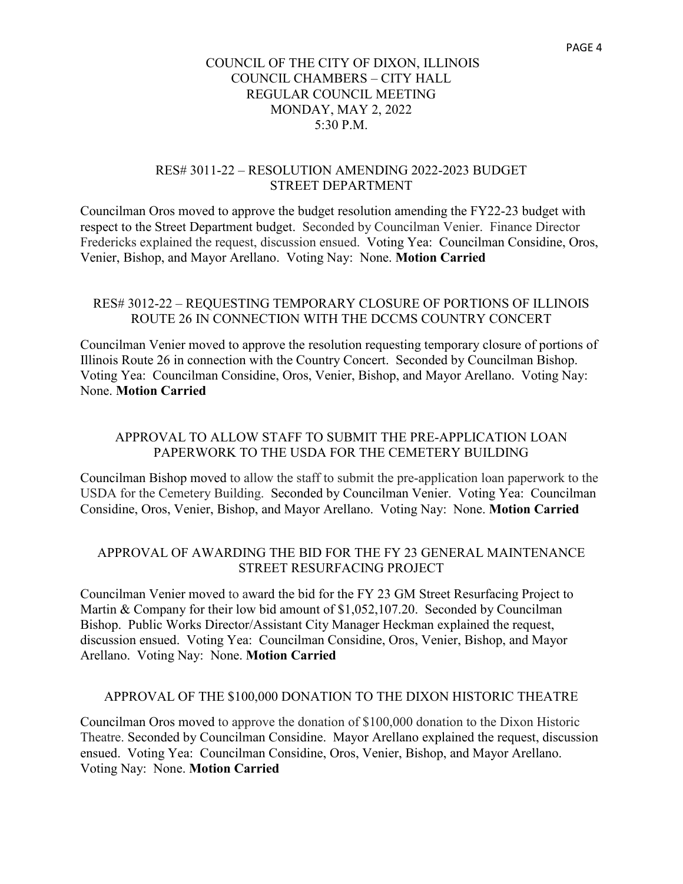#### RES# 3011-22 – RESOLUTION AMENDING 2022-2023 BUDGET STREET DEPARTMENT

Councilman Oros moved to approve the budget resolution amending the FY22-23 budget with respect to the Street Department budget. Seconded by Councilman Venier. Finance Director Fredericks explained the request, discussion ensued. Voting Yea: Councilman Considine, Oros, Venier, Bishop, and Mayor Arellano. Voting Nay: None. **Motion Carried**

## RES# 3012-22 – REQUESTING TEMPORARY CLOSURE OF PORTIONS OF ILLINOIS ROUTE 26 IN CONNECTION WITH THE DCCMS COUNTRY CONCERT

Councilman Venier moved to approve the resolution requesting temporary closure of portions of Illinois Route 26 in connection with the Country Concert. Seconded by Councilman Bishop. Voting Yea: Councilman Considine, Oros, Venier, Bishop, and Mayor Arellano. Voting Nay: None. **Motion Carried**

## APPROVAL TO ALLOW STAFF TO SUBMIT THE PRE-APPLICATION LOAN PAPERWORK TO THE USDA FOR THE CEMETERY BUILDING

Councilman Bishop moved to allow the staff to submit the pre-application loan paperwork to the USDA for the Cemetery Building. Seconded by Councilman Venier. Voting Yea: Councilman Considine, Oros, Venier, Bishop, and Mayor Arellano. Voting Nay: None. **Motion Carried**

## APPROVAL OF AWARDING THE BID FOR THE FY 23 GENERAL MAINTENANCE STREET RESURFACING PROJECT

Councilman Venier moved to award the bid for the FY 23 GM Street Resurfacing Project to Martin & Company for their low bid amount of \$1,052,107.20. Seconded by Councilman Bishop. Public Works Director/Assistant City Manager Heckman explained the request, discussion ensued. Voting Yea: Councilman Considine, Oros, Venier, Bishop, and Mayor Arellano. Voting Nay: None. **Motion Carried**

### APPROVAL OF THE \$100,000 DONATION TO THE DIXON HISTORIC THEATRE

Councilman Oros moved to approve the donation of \$100,000 donation to the Dixon Historic Theatre. Seconded by Councilman Considine. Mayor Arellano explained the request, discussion ensued. Voting Yea: Councilman Considine, Oros, Venier, Bishop, and Mayor Arellano. Voting Nay: None. **Motion Carried**